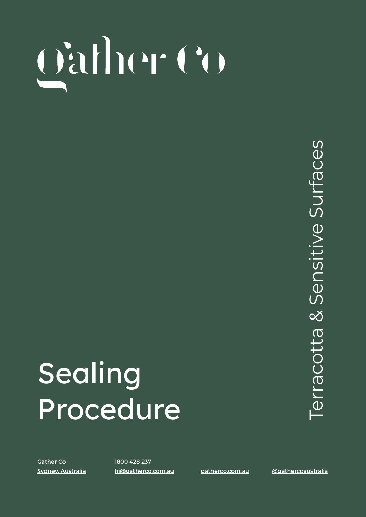# **SEALING PROCEDURE** | TERRACOTTA & SENSITIVE SURFACES

### Sealing Procedure

**Gather Co 1800 428 237**

**[Sydney, Australia](https://www.google.com/maps/place/Gather+Co/@-33.623232,150.8059846,15z/data=!3m1!4b1!4m5!3m4!1s0x6b0d627fdd92245f:0x4cc7582c74182972!8m2!3d-33.6232502!4d150.8147394) [hi@gatherco.com.au](mailto:hi@gatherco.com.au) [gatherco.com.au](http://gatherco.com.au) [@gathercoaustralia](https://www.instagram.com/gathercoaustralia/)**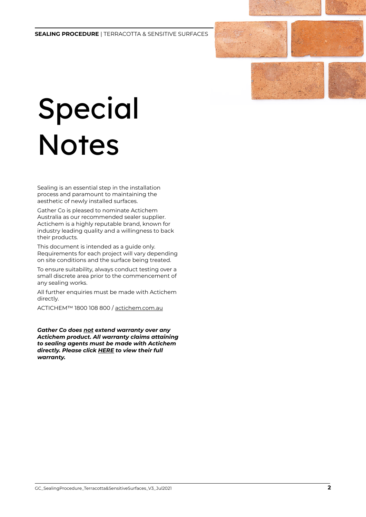## Special Notes

Sealing is an essential step in the installation process and paramount to maintaining the aesthetic of newly installed surfaces.

Gather Co is pleased to nominate Actichem Australia as our recommended sealer supplier. Actichem is a highly reputable brand, known for industry leading quality and a willingness to back their products.

This document is intended as a guide only. Requirements for each project will vary depending on site conditions and the surface being treated.

To ensure suitability, always conduct testing over a small discrete area prior to the commencement of any sealing works.

All further enquiries must be made with Actichem directly.

ACTICHEM™ 1800 108 800 / [actichem.com.au](http://actichem.com.au)

*Gather Co does not extend warranty over any Actichem product. All warranty claims attaining to sealing agents must be made with Actichem directly. Please click [HERE](https://www.dropbox.com/sh/ynsjezk4ikgcuf1/AACwFUkGDUG7mDKiEyiigcBoa?dl=0) to view their full warranty.*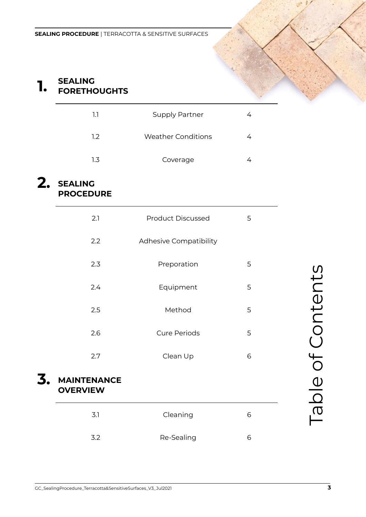### **1.) SEALING FORETHOUGHTS**

| 11  | <b>Supply Partner</b> |  |
|-----|-----------------------|--|
| 1.2 | Weather Conditions    |  |
| 1.3 | Coverage              |  |

#### **2. SEALING PROCEDURE**

| 2.1                                                         | <b>Product Discussed</b> | 5 |                  |
|-------------------------------------------------------------|--------------------------|---|------------------|
| 2.2                                                         | Adhesive Compatibility   |   |                  |
| 2.3                                                         | Preporation              | 5 |                  |
| 2.4                                                         | Equipment                | 5 |                  |
| 2.5                                                         | Method                   | 5 |                  |
| 2.6                                                         | <b>Cure Periods</b>      | 5 |                  |
| 2.7                                                         | Clean Up                 | 6 |                  |
| <b>MAINTENANCE</b><br><b>OVERVIEW</b>                       |                          |   | able of Contents |
| 3.1                                                         | Cleaning                 | 6 |                  |
| 3.2                                                         | Re-Sealing               | 6 |                  |
|                                                             |                          |   |                  |
| GC_SealingProcedure_Terracotta&SensitiveSurfaces_V3_Jul2021 |                          |   | 3                |
|                                                             |                          |   |                  |

#### **3. MAINTENANCE OVERVIEW**

| 3.1 | Cleaning   |   |
|-----|------------|---|
| 3.2 | Re-Sealing | r |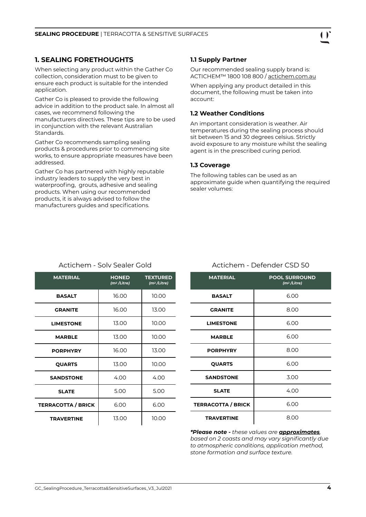#### **1. SEALING FORETHOUGHTS**

When selecting any product within the Gather Co collection, consideration must to be given to ensure each product is suitable for the intended application.

Gather Co is pleased to provide the following advice in addition to the product sale. In almost all cases, we recommend following the manufacturers directives. These tips are to be used in conjunction with the relevant Australian Standards.

Gather Co recommends sampling sealing products & procedures prior to commencing site works, to ensure appropriate measures have been addressed.

Gather Co has partnered with highly reputable industry leaders to supply the very best in waterproofing, grouts, adhesive and sealing products. When using our recommended products, it is always advised to follow the manufacturers guides and specifications.

#### **1.1 Supply Partner**

Our recommended sealing supply brand is: ACTICHEM™ 1800 108 800 / [actichem.com.au](http://actichem.com.au)

When applying any product detailed in this document, the following must be taken into account:

#### **1.2 Weather Conditions**

An important consideration is weather. Air temperatures during the sealing process should sit between 15 and 30 degrees celsius. Strictly avoid exposure to any moisture whilst the sealing agent is in the prescribed curing period.

#### **1.3 Coverage**

The following tables can be used as an approximate guide when quantifying the required sealer volumes:

Actichem - Defender CSD 50

| <b>MATERIAL</b>           | <b>HONED</b><br>(m <sup>2</sup> /Litre) | <b>TEXTURED</b><br>(m <sup>2</sup> /Litre) |
|---------------------------|-----------------------------------------|--------------------------------------------|
| <b>BASALT</b>             | 16.00                                   | 10.00                                      |
| <b>GRANITE</b>            | 16.00                                   | 13.00                                      |
| <b>LIMESTONE</b>          | 13.00                                   | 10.00                                      |
| <b>MARBLE</b>             | 13.00                                   | 10.00                                      |
| <b>PORPHYRY</b>           | 16.00                                   | 13.00                                      |
| <b>QUARTS</b>             | 13.00                                   | 10.00                                      |
| <b>SANDSTONE</b>          | 4.00                                    | 4.00                                       |
| <b>SLATE</b>              | 5.00                                    | 5.00                                       |
| <b>TERRACOTTA / BRICK</b> | 6.00                                    | 6.00                                       |
| <b>TRAVERTINE</b>         | 13.00                                   | 10.00                                      |

#### Actichem - Solv Sealer Gold

| <b>MATERIAL</b>           | <b>POOL SURROUND</b><br>(m <sup>2</sup> /Litre) |
|---------------------------|-------------------------------------------------|
| <b>BASALT</b>             | 6.00                                            |
| <b>GRANITE</b>            | 8.00                                            |
| <b>LIMESTONE</b>          | 6.00                                            |
| <b>MARBLE</b>             | 6.00                                            |
| <b>PORPHYRY</b>           | 8.00                                            |
| <b>QUARTS</b>             | 6.00                                            |
| <b>SANDSTONE</b>          | 3.00                                            |
| <b>SLATE</b>              | 4.00                                            |
| <b>TERRACOTTA / BRICK</b> | 6.00                                            |
| <b>TRAVERTINE</b>         | 8.00                                            |

*\*Please note - these values are approximates, based on 2 coasts and may vary significantly due to atmospheric conditions, application method, stone formation and surface texture.*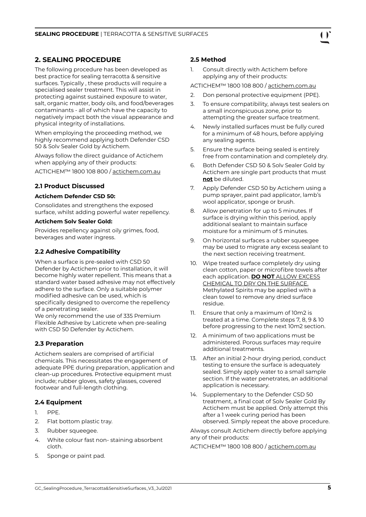#### **2. SEALING PROCEDURE**

The following procedure has been developed as best practice for sealing terracotta & sensitive surfaces. Typically , these products will require a specialised sealer treatment. This will assist in protecting against sustained exposure to water, salt, organic matter, body oils, and food/beverages contaminants - all of which have the capacity to negatively impact both the visual appearance and physical integrity of installations.

When employing the proceeding method, we highly recommend applying both Defender CSD 50 & Solv Sealer Gold by Actichem.

Always follow the direct guidance of Actichem when applying any of their products:

ACTICHEM™ 1800 108 800 / [actichem.com.au](http://actichem.com.au)

#### **2.1 Product Discussed**

#### **Actichem Defender CSD 50:**

Consolidates and strengthens the exposed surface, whilst adding powerful water repellency.

#### **Actichem Solv Sealer Gold:**

Provides repellency against oily grimes, food, beverages and water ingress.

#### **2.2 Adhesive Compatibility**

When a surface is pre-sealed with CSD 50 Defender by Actichem prior to installation, it will become highly water repellent. This means that a standard water based adhesive may not effectively adhere to the surface. Only a suitable polymer modified adhesive can be used, which is specifically designed to overcome the repellency of a penetrating sealer.

We only recommend the use of 335 Premium Flexible Adhesive by Laticrete when pre-sealing with CSD 50 Defender by Actichem.

#### **2.3 Preparation**

Actichem sealers are comprised of artificial chemicals. This necessitates the engagement of adequate PPE during preparation, application and clean-up procedures. Protective equipment must include; rubber gloves, safety glasses, covered footwear and full-length clothing.

#### **2.4 Equipment**

- 1. PPE.
- 2. Flat bottom plastic tray.
- 3. Rubber squeegee.
- 4. White colour fast non- staining absorbent cloth.
- 5. Sponge or paint pad.

#### **2.5 Method**

1. Consult directly with Actichem before applying any of their products:

ACTICHEM™ 1800 108 800 / [actichem.com.au](http://actichem.com.au)

- 2. Don personal protective equipment (PPE).
- 3. To ensure compatibility, always test sealers on a small inconspicuous zone, prior to attempting the greater surface treatment.
- 4. Newly installed surfaces must be fully cured for a minimum of 48 hours, before applying any sealing agents.
- 5. Ensure the surface being sealed is entirely free from contamination and completely dry.
- 6. Both Defender CSD 50 & Solv Sealer Gold by Actichem are single part products that must **not** be diluted.
- 7. Apply Defender CSD 50 by Actichem using a pump sprayer, paint pad applicator, lamb's wool applicator, sponge or brush.
- 8. Allow penetration for up to 5 minutes. If surface is drying within this period, apply additional sealant to maintain surface moisture for a minimum of 5 minutes.
- 9. On horizontal surfaces a rubber squeegee may be used to migrate any excess sealant to the next section receiving treatment.
- 10. Wipe treated surface completely dry using clean cotton, paper or microfibre towels after each application. **DO NOT** ALLOW EXCESS CHEMICAL TO DRY ON THE SURFACE. Methylated Spirits may be applied with a clean towel to remove any dried surface residue.
- 11. Ensure that only a maximum of 10m2 is treated at a time. Complete steps 7, 8, 9 & 10 before progressing to the next 10m2 section.
- 12. A minimum of two applications must be administered. Porous surfaces may require additional treatments.
- 13. After an initial 2-hour drying period, conduct testing to ensure the surface is adequately sealed. Simply apply water to a small sample section. If the water penetrates, an additional application is necessary.
- 14. Supplementary to the Defender CSD 50 treatment, a final coat of Solv Sealer Gold By Actichem must be applied. Only attempt this after a 1 week curing period has been observed. Simply repeat the above procedure.

Always consult Actichem directly before applying any of their products:

ACTICHEM™ 1800 108 800 / [actichem.com.au](http://actichem.com.au)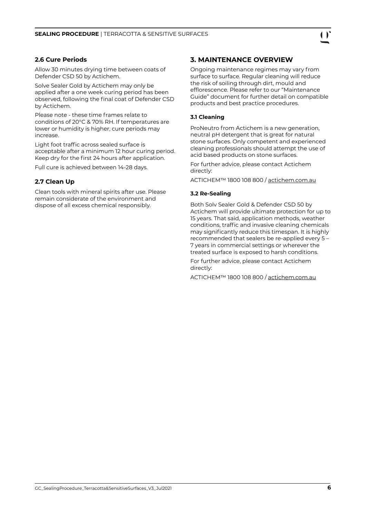

#### **2.6 Cure Periods**

Allow 30 minutes drying time between coats of Defender CSD 50 by Actichem.

Solve Sealer Gold by Actichem may only be applied after a one week curing period has been observed, following the final coat of Defender CSD by Actichem.

Please note - these time frames relate to conditions of 20°C & 70% RH. If temperatures are lower or humidity is higher, cure periods may increase

Light foot traffic across sealed surface is acceptable after a minimum 12 hour curing period. Keep dry for the first 24 hours after application.

Full cure is achieved between 14-28 days.

#### **2.7 Clean Up**

Clean tools with mineral spirits after use. Please remain considerate of the environment and dispose of all excess chemical responsibly.

#### **3. MAINTENANCE OVERVIEW**

Ongoing maintenance regimes may vary from surface to surface. Regular cleaning will reduce the risk of soiling through dirt, mould and efflorescence. Please refer to our "Maintenance Guide" document for further detail on compatible products and best practice procedures.

#### **3.1 Cleaning**

ProNeutro from Actichem is a new generation, neutral pH detergent that is great for natural stone surfaces. Only competent and experienced cleaning professionals should attempt the use of acid based products on stone surfaces.

For further advice, please contact Actichem directly:

ACTICHEM™ 1800 108 800 / [actichem.com.au](http://actichem.com.au)

#### **3.2 Re-Sealing**

Both Solv Sealer Gold & Defender CSD 50 by Actichem will provide ultimate protection for up to 15 years. That said, application methods, weather conditions, traffic and invasive cleaning chemicals may significantly reduce this timespan. It is highly recommended that sealers be re-applied every 5 – 7 years in commercial settings or wherever the treated surface is exposed to harsh conditions.

For further advice, please contact Actichem directly:

ACTICHEM™ 1800 108 800 / [actichem.com.au](http://actichem.com.au)